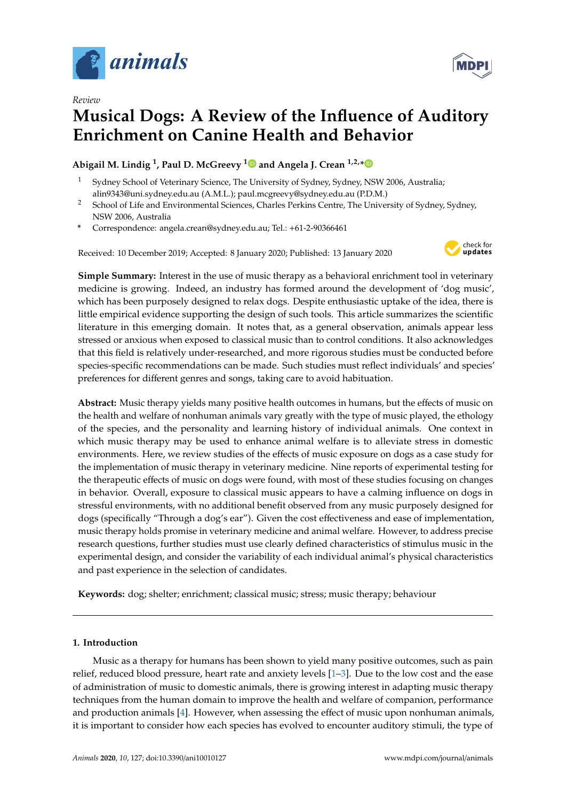

*Review*

# **Musical Dogs: A Review of the Influence of Auditory Enrichment on Canine Health and Behavior**

**Abigail M. Lindig <sup>1</sup> , Paul D. McGreevy [1](https://orcid.org/0000-0001-7220-8378) and Angela J. Crean 1,2,[\\*](https://orcid.org/0000-0003-2605-6435)**

- <sup>1</sup> Sydney School of Veterinary Science, The University of Sydney, Sydney, NSW 2006, Australia; alin9343@uni.sydney.edu.au (A.M.L.); paul.mcgreevy@sydney.edu.au (P.D.M.)
- <sup>2</sup> School of Life and Environmental Sciences, Charles Perkins Centre, The University of Sydney, Sydney, NSW 2006, Australia
- **\*** Correspondence: angela.crean@sydney.edu.au; Tel.: +61-2-90366461

Received: 10 December 2019; Accepted: 8 January 2020; Published: 13 January 2020



**Simple Summary:** Interest in the use of music therapy as a behavioral enrichment tool in veterinary medicine is growing. Indeed, an industry has formed around the development of 'dog music', which has been purposely designed to relax dogs. Despite enthusiastic uptake of the idea, there is little empirical evidence supporting the design of such tools. This article summarizes the scientific literature in this emerging domain. It notes that, as a general observation, animals appear less stressed or anxious when exposed to classical music than to control conditions. It also acknowledges that this field is relatively under-researched, and more rigorous studies must be conducted before species-specific recommendations can be made. Such studies must reflect individuals' and species' preferences for different genres and songs, taking care to avoid habituation.

**Abstract:** Music therapy yields many positive health outcomes in humans, but the effects of music on the health and welfare of nonhuman animals vary greatly with the type of music played, the ethology of the species, and the personality and learning history of individual animals. One context in which music therapy may be used to enhance animal welfare is to alleviate stress in domestic environments. Here, we review studies of the effects of music exposure on dogs as a case study for the implementation of music therapy in veterinary medicine. Nine reports of experimental testing for the therapeutic effects of music on dogs were found, with most of these studies focusing on changes in behavior. Overall, exposure to classical music appears to have a calming influence on dogs in stressful environments, with no additional benefit observed from any music purposely designed for dogs (specifically "Through a dog's ear"). Given the cost effectiveness and ease of implementation, music therapy holds promise in veterinary medicine and animal welfare. However, to address precise research questions, further studies must use clearly defined characteristics of stimulus music in the experimental design, and consider the variability of each individual animal's physical characteristics and past experience in the selection of candidates.

**Keywords:** dog; shelter; enrichment; classical music; stress; music therapy; behaviour

## **1. Introduction**

Music as a therapy for humans has been shown to yield many positive outcomes, such as pain relief, reduced blood pressure, heart rate and anxiety levels [\[1–](#page-8-0)[3\]](#page-8-1). Due to the low cost and the ease of administration of music to domestic animals, there is growing interest in adapting music therapy techniques from the human domain to improve the health and welfare of companion, performance and production animals [\[4\]](#page-8-2). However, when assessing the effect of music upon nonhuman animals, it is important to consider how each species has evolved to encounter auditory stimuli, the type of

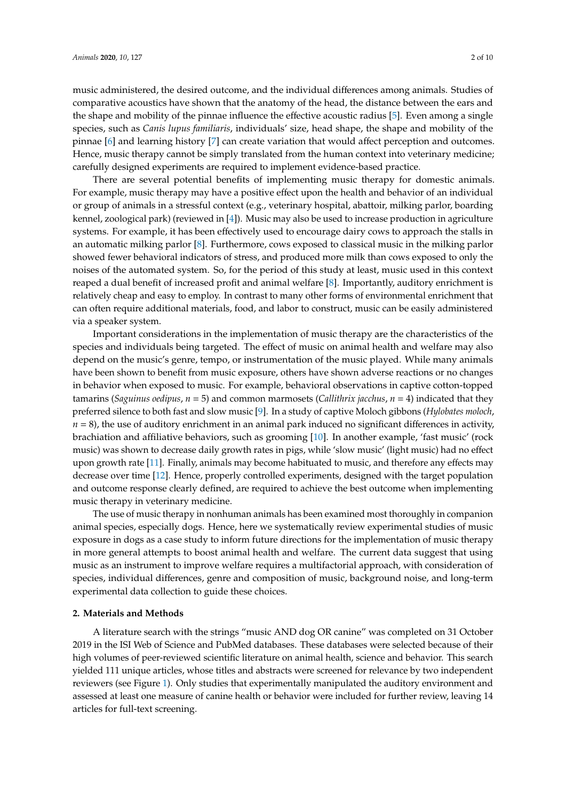music administered, the desired outcome, and the individual differences among animals. Studies of comparative acoustics have shown that the anatomy of the head, the distance between the ears and the shape and mobility of the pinnae influence the effective acoustic radius [\[5\]](#page-8-3). Even among a single species, such as *Canis lupus familiaris*, individuals' size, head shape, the shape and mobility of the pinnae [\[6\]](#page-8-4) and learning history [\[7\]](#page-8-5) can create variation that would affect perception and outcomes. Hence, music therapy cannot be simply translated from the human context into veterinary medicine; carefully designed experiments are required to implement evidence-based practice.

There are several potential benefits of implementing music therapy for domestic animals. For example, music therapy may have a positive effect upon the health and behavior of an individual or group of animals in a stressful context (e.g., veterinary hospital, abattoir, milking parlor, boarding kennel, zoological park) (reviewed in [\[4\]](#page-8-2)). Music may also be used to increase production in agriculture systems. For example, it has been effectively used to encourage dairy cows to approach the stalls in an automatic milking parlor [\[8\]](#page-8-6). Furthermore, cows exposed to classical music in the milking parlor showed fewer behavioral indicators of stress, and produced more milk than cows exposed to only the noises of the automated system. So, for the period of this study at least, music used in this context reaped a dual benefit of increased profit and animal welfare [\[8\]](#page-8-6). Importantly, auditory enrichment is relatively cheap and easy to employ. In contrast to many other forms of environmental enrichment that can often require additional materials, food, and labor to construct, music can be easily administered via a speaker system.

Important considerations in the implementation of music therapy are the characteristics of the species and individuals being targeted. The effect of music on animal health and welfare may also depend on the music's genre, tempo, or instrumentation of the music played. While many animals have been shown to benefit from music exposure, others have shown adverse reactions or no changes in behavior when exposed to music. For example, behavioral observations in captive cotton-topped tamarins (*Saguinus oedipus*, *n* = 5) and common marmosets (*Callithrix jacchus*, *n* = 4) indicated that they preferred silence to both fast and slow music [\[9\]](#page-8-7). In a study of captive Moloch gibbons (*Hylobates moloch*,  $n = 8$ ), the use of auditory enrichment in an animal park induced no significant differences in activity, brachiation and affiliative behaviors, such as grooming [\[10\]](#page-8-8). In another example, 'fast music' (rock music) was shown to decrease daily growth rates in pigs, while 'slow music' (light music) had no effect upon growth rate [\[11\]](#page-8-9). Finally, animals may become habituated to music, and therefore any effects may decrease over time [\[12\]](#page-8-10). Hence, properly controlled experiments, designed with the target population and outcome response clearly defined, are required to achieve the best outcome when implementing music therapy in veterinary medicine.

The use of music therapy in nonhuman animals has been examined most thoroughly in companion animal species, especially dogs. Hence, here we systematically review experimental studies of music exposure in dogs as a case study to inform future directions for the implementation of music therapy in more general attempts to boost animal health and welfare. The current data suggest that using music as an instrument to improve welfare requires a multifactorial approach, with consideration of species, individual differences, genre and composition of music, background noise, and long-term experimental data collection to guide these choices.

#### **2. Materials and Methods**

A literature search with the strings "music AND dog OR canine" was completed on 31 October 2019 in the ISI Web of Science and PubMed databases. These databases were selected because of their high volumes of peer-reviewed scientific literature on animal health, science and behavior. This search yielded 111 unique articles, whose titles and abstracts were screened for relevance by two independent reviewers (see Figure [1\)](#page-2-0). Only studies that experimentally manipulated the auditory environment and assessed at least one measure of canine health or behavior were included for further review, leaving 14 articles for full-text screening.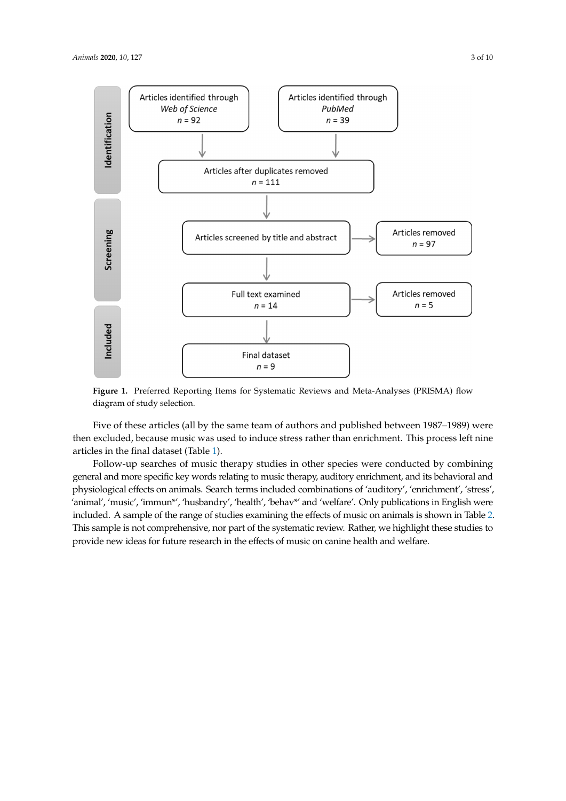<span id="page-2-0"></span>

**Figure 1.** Preferred Reporting Items for Systematic Reviews and Meta-Analyses (PRISMA) flow diagram of study selection.

Five of these articles (all by the same team of authors and published between 1987–1989) were then excluded, because music was used to induce stress rather than enrichment. This process left nine articles in the final dataset (Table [1\)](#page-4-0).

Follow-up searches of music therapy studies in other species were conducted by combining general and more specific key words relating to music therapy, auditory enrichment, and its behavioral and physiological effects on animals. Search terms included combinations of 'auditory', 'enrichment', 'stress', 'animal', 'music', 'immun\*', 'husbandry', 'health', 'behav\*' and 'welfare'. Only publications in English were included. A sample of the range of studies examining the effects of music on animals is shown in Table [2.](#page-5-0) This sample is not comprehensive, nor part of the systematic review. Rather, we highlight these studies to provide new ideas for future research in the effects of music on canine health and welfare.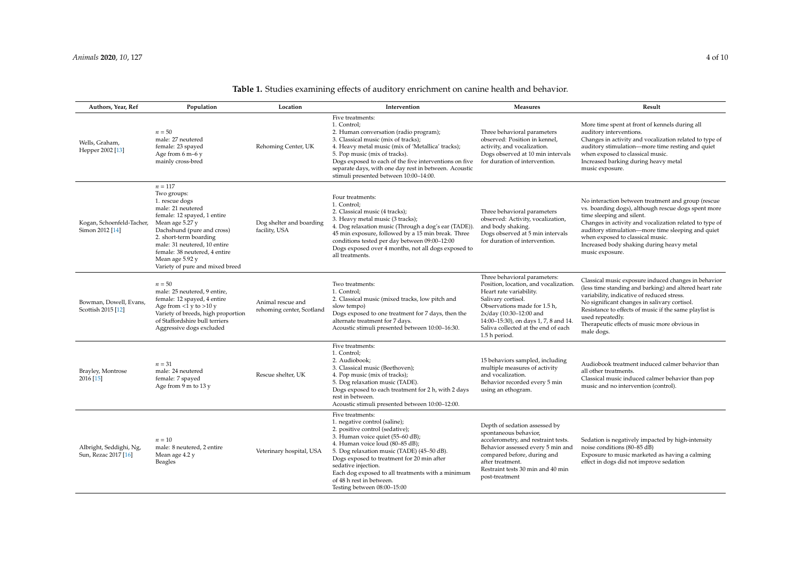| Authors, Year, Ref                              | Population                                                                                                                                                                                                                                                                                       | Location                                       | Intervention                                                                                                                                                                                                                                                                                                                                                                                   | <b>Measures</b>                                                                                                                                                                                                                                                                    | Result                                                                                                                                                                                                                                                                                                                                                     |
|-------------------------------------------------|--------------------------------------------------------------------------------------------------------------------------------------------------------------------------------------------------------------------------------------------------------------------------------------------------|------------------------------------------------|------------------------------------------------------------------------------------------------------------------------------------------------------------------------------------------------------------------------------------------------------------------------------------------------------------------------------------------------------------------------------------------------|------------------------------------------------------------------------------------------------------------------------------------------------------------------------------------------------------------------------------------------------------------------------------------|------------------------------------------------------------------------------------------------------------------------------------------------------------------------------------------------------------------------------------------------------------------------------------------------------------------------------------------------------------|
| Wells, Graham,<br>Hepper 2002 [13]              | $n = 50$<br>male: 27 neutered<br>female: 23 spayed<br>Age from 6 m-6 y<br>mainly cross-bred                                                                                                                                                                                                      | Rehoming Center, UK                            | Five treatments:<br>1. Control;<br>2. Human conversation (radio program);<br>3. Classical music (mix of tracks);<br>4. Heavy metal music (mix of 'Metallica' tracks);<br>5. Pop music (mix of tracks).<br>Dogs exposed to each of the five interventions on five<br>separate days, with one day rest in between. Acoustic<br>stimuli presented between 10:00-14:00.                            | Three behavioral parameters<br>observed: Position in kennel,<br>activity, and vocalization.<br>Dogs observed at 10 min intervals<br>for duration of intervention.                                                                                                                  | More time spent at front of kennels during all<br>auditory interventions.<br>Changes in activity and vocalization related to type of<br>auditory stimulation-more time resting and quiet<br>when exposed to classical music.<br>Increased barking during heavy metal<br>music exposure.                                                                    |
| Kogan, Schoenfeld-Tacher,<br>Simon 2012 [14]    | $n = 117$<br>Two groups:<br>1. rescue dogs<br>male: 21 neutered<br>female: 12 spayed, 1 entire<br>Mean age 5.27 y<br>Dachshund (pure and cross)<br>2. short-term boarding<br>male: 31 neutered, 10 entire<br>female: 38 neutered, 4 entire<br>Mean age 5.92 y<br>Variety of pure and mixed breed | Dog shelter and boarding<br>facility, USA      | Four treatments:<br>1. Control:<br>2. Classical music (4 tracks);<br>3. Heavy metal music (3 tracks);<br>4. Dog relaxation music (Through a dog's ear (TADE)).<br>45 min exposure, followed by a 15 min break. Three<br>conditions tested per day between 09:00-12:00<br>Dogs exposed over 4 months, not all dogs exposed to<br>all treatments.                                                | Three behavioral parameters<br>observed: Activity, vocalization,<br>and body shaking.<br>Dogs observed at 5 min intervals<br>for duration of intervention.                                                                                                                         | No interaction between treatment and group (rescue<br>vs. boarding dogs), although rescue dogs spent more<br>time sleeping and silent.<br>Changes in activity and vocalization related to type of<br>auditory stimulation-more time sleeping and quiet<br>when exposed to classical music.<br>Increased body shaking during heavy metal<br>music exposure. |
| Bowman, Dowell, Evans,<br>Scottish 2015 [12]    | $n = 50$<br>male: 25 neutered, 9 entire,<br>female: 12 spayed, 4 entire<br>Age from $<1$ y to $>10$ y<br>Variety of breeds, high proportion<br>of Staffordshire bull terriers<br>Aggressive dogs excluded                                                                                        | Animal rescue and<br>rehoming center, Scotland | Two treatments:<br>1. Control;<br>2. Classical music (mixed tracks, low pitch and<br>slow tempo)<br>Dogs exposed to one treatment for 7 days, then the<br>alternate treatment for 7 days.<br>Acoustic stimuli presented between 10:00-16:30.                                                                                                                                                   | Three behavioral parameters:<br>Position, location, and vocalization.<br>Heart rate variability.<br>Salivary cortisol.<br>Observations made for 1.5 h,<br>2x/day (10:30-12:00 and<br>14:00-15:30), on days 1, 7, 8 and 14.<br>Saliva collected at the end of each<br>1.5 h period. | Classical music exposure induced changes in behavior<br>(less time standing and barking) and altered heart rate<br>variability, indicative of reduced stress.<br>No significant changes in salivary cortisol.<br>Resistance to effects of music if the same playlist is<br>used repeatedly.<br>Therapeutic effects of music more obvious in<br>male dogs.  |
| Brayley, Montrose<br>2016 [15]                  | $n = 31$<br>male: 24 neutered<br>female: 7 spayed<br>Age from 9 m to 13 y                                                                                                                                                                                                                        | Rescue shelter, UK                             | Five treatments:<br>1. Control;<br>2. Audiobook;<br>3. Classical music (Beethoven);<br>4. Pop music (mix of tracks);<br>5. Dog relaxation music (TADE).<br>Dogs exposed to each treatment for 2 h, with 2 days<br>rest in between.<br>Acoustic stimuli presented between 10:00-12:00.                                                                                                          | 15 behaviors sampled, including<br>multiple measures of activity<br>and vocalization.<br>Behavior recorded every 5 min<br>using an ethogram.                                                                                                                                       | Audiobook treatment induced calmer behavior than<br>all other treatments.<br>Classical music induced calmer behavior than pop<br>music and no intervention (control).                                                                                                                                                                                      |
| Albright, Seddighi, Ng,<br>Sun, Rezac 2017 [16] | $n = 10$<br>male: 8 neutered, 2 entire<br>Mean age 4.2 y<br><b>Beagles</b>                                                                                                                                                                                                                       | Veterinary hospital, USA                       | Five treatments:<br>1. negative control (saline);<br>2. positive control (sedative);<br>3. Human voice quiet (55-60 dB);<br>4. Human voice loud (80-85 dB);<br>5. Dog relaxation music (TADE) (45-50 dB).<br>Dogs exposed to treatment for 20 min after<br>sedative injection.<br>Each dog exposed to all treatments with a minimum<br>of 48 h rest in between.<br>Testing between 08:00-15:00 | Depth of sedation assessed by<br>spontaneous behavior,<br>accelerometry, and restraint tests.<br>Behavior assessed every 5 min and<br>compared before, during and<br>after treatment.<br>Restraint tests 30 min and 40 min<br>post-treatment                                       | Sedation is negatively impacted by high-intensity<br>noise conditions (80-85 dB)<br>Exposure to music marketed as having a calming<br>effect in dogs did not improve sedation                                                                                                                                                                              |

## **Table 1.** Studies examining effects of auditory enrichment on canine health and behavior.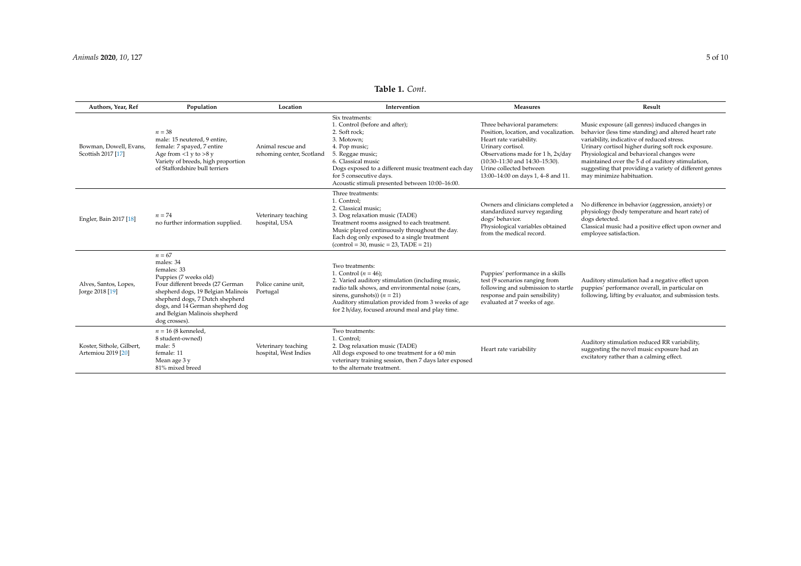## **Table 1.** *Cont*.

<span id="page-4-0"></span>

| Authors, Year, Ref                              | Population                                                                                                                                                                                                                                                       | Location                                       | Intervention                                                                                                                                                                                                                                                                                | <b>Measures</b>                                                                                                                                                                                                                                                    | Result                                                                                                                                                                                                                                                                                                                                                                                              |
|-------------------------------------------------|------------------------------------------------------------------------------------------------------------------------------------------------------------------------------------------------------------------------------------------------------------------|------------------------------------------------|---------------------------------------------------------------------------------------------------------------------------------------------------------------------------------------------------------------------------------------------------------------------------------------------|--------------------------------------------------------------------------------------------------------------------------------------------------------------------------------------------------------------------------------------------------------------------|-----------------------------------------------------------------------------------------------------------------------------------------------------------------------------------------------------------------------------------------------------------------------------------------------------------------------------------------------------------------------------------------------------|
| Bowman, Dowell, Evans,<br>Scottish 2017 [17]    | $n = 38$<br>male: 15 neutered, 9 entire,<br>female: 7 spayed, 7 entire<br>Age from $<1$ y to $>8$ y<br>Variety of breeds, high proportion<br>of Staffordshire bull terriers                                                                                      | Animal rescue and<br>rehoming center, Scotland | Six treatments:<br>1. Control (before and after);<br>2. Soft rock;<br>3. Motown:<br>4. Pop music;<br>5. Reggae music;<br>6. Classical music<br>Dogs exposed to a different music treatment each day<br>for 5 consecutive days.<br>Acoustic stimuli presented between 10:00-16:00.           | Three behavioral parameters:<br>Position, location, and vocalization.<br>Heart rate variability.<br>Urinary cortisol.<br>Observations made for 1 h, 2x/day<br>$(10:30-11:30$ and $14:30-15:30)$ .<br>Urine collected between<br>13:00-14:00 on days 1, 4-8 and 11. | Music exposure (all genres) induced changes in<br>behavior (less time standing) and altered heart rate<br>variability, indicative of reduced stress.<br>Urinary cortisol higher during soft rock exposure.<br>Physiological and behavioral changes were<br>maintained over the 5 d of auditory stimulation,<br>suggesting that providing a variety of different genres<br>may minimize habituation. |
| Engler, Bain 2017 [18]                          | $n = 74$<br>no further information supplied.                                                                                                                                                                                                                     | Veterinary teaching<br>hospital, USA           | Three treatments:<br>1. Control:<br>2. Classical music:<br>3. Dog relaxation music (TADE)<br>Treatment rooms assigned to each treatment.<br>Music played continuously throughout the day.<br>Each dog only exposed to a single treatment<br>$(control = 30, music = 23, TADE = 21)$         | Owners and clinicians completed a<br>standardized survey regarding<br>dogs' behavior.<br>Physiological variables obtained<br>from the medical record.                                                                                                              | No difference in behavior (aggression, anxiety) or<br>physiology (body temperature and heart rate) of<br>dogs detected.<br>Classical music had a positive effect upon owner and<br>employee satisfaction.                                                                                                                                                                                           |
| Alves, Santos, Lopes,<br>Jorge 2018 [19]        | $n = 67$<br>males: 34<br>females: 33<br>Puppies (7 weeks old)<br>Four different breeds (27 German<br>shepherd dogs, 19 Belgian Malinois<br>shepherd dogs, 7 Dutch shepherd<br>dogs, and 14 German shepherd dog<br>and Belgian Malinois shepherd<br>dog crosses). | Police canine unit,<br>Portugal                | Two treatments:<br>1. Control $(n = 46)$ ;<br>2. Varied auditory stimulation (including music,<br>radio talk shows, and environmental noise (cars,<br>sirens, gunshots)) $(n = 21)$<br>Auditory stimulation provided from 3 weeks of age<br>for 2 h/day, focused around meal and play time. | Puppies' performance in a skills<br>test (9 scenarios ranging from<br>following and submission to startle<br>response and pain sensibility)<br>evaluated at 7 weeks of age.                                                                                        | Auditory stimulation had a negative effect upon<br>puppies' performance overall, in particular on<br>following, lifting by evaluator, and submission tests.                                                                                                                                                                                                                                         |
| Koster, Sithole, Gilbert,<br>Artemiou 2019 [20] | $n = 16(8$ kenneled,<br>8 student-owned)<br>male: 5<br>female: 11<br>Mean age 3 y<br>81% mixed breed                                                                                                                                                             | Veterinary teaching<br>hospital, West Indies   | Two treatments:<br>1. Control;<br>2. Dog relaxation music (TADE)<br>All dogs exposed to one treatment for a 60 min<br>veterinary training session, then 7 days later exposed<br>to the alternate treatment.                                                                                 | Heart rate variability                                                                                                                                                                                                                                             | Auditory stimulation reduced RR variability,<br>suggesting the novel music exposure had an<br>excitatory rather than a calming effect.                                                                                                                                                                                                                                                              |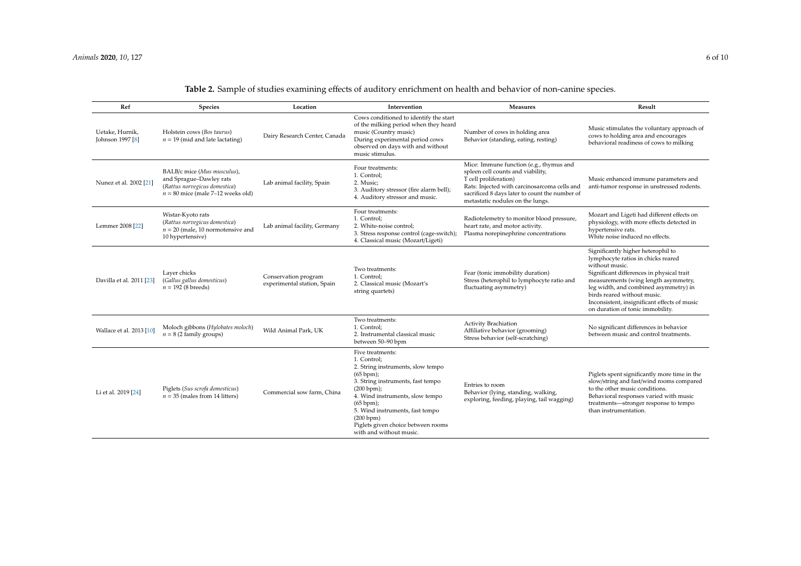<span id="page-5-0"></span>

| Ref                                 | Species                                                                                                                        | Location                                            | Intervention                                                                                                                                                                                                                                                                                          | Measures                                                                                                                                                                                                                                    | Result                                                                                                                                                                                                                                                                                                                                      |
|-------------------------------------|--------------------------------------------------------------------------------------------------------------------------------|-----------------------------------------------------|-------------------------------------------------------------------------------------------------------------------------------------------------------------------------------------------------------------------------------------------------------------------------------------------------------|---------------------------------------------------------------------------------------------------------------------------------------------------------------------------------------------------------------------------------------------|---------------------------------------------------------------------------------------------------------------------------------------------------------------------------------------------------------------------------------------------------------------------------------------------------------------------------------------------|
| Uetake, Hurnik,<br>Johnson 1997 [8] | Holstein cows (Bos taurus)<br>$n = 19$ (mid and late lactating)                                                                | Dairy Research Center, Canada                       | Cows conditioned to identify the start<br>of the milking period when they heard<br>music (Country music)<br>During experimental period cows<br>observed on days with and without<br>music stimulus.                                                                                                   | Number of cows in holding area<br>Behavior (standing, eating, resting)                                                                                                                                                                      | Music stimulates the voluntary approach of<br>cows to holding area and encourages<br>behavioral readiness of cows to milking                                                                                                                                                                                                                |
| Nunez et al. 2002 [21]              | BALB/c mice (Mus musculus),<br>and Sprague-Dawley rats<br>(Rattus norvegicus domestica)<br>$n = 80$ mice (male 7-12 weeks old) | Lab animal facility, Spain                          | Four treatments:<br>1. Control;<br>2. Music:<br>3. Auditory stressor (fire alarm bell);<br>4. Auditory stressor and music.                                                                                                                                                                            | Mice: Immune function (e.g., thymus and<br>spleen cell counts and viability,<br>T cell proliferation)<br>Rats: Injected with carcinosarcoma cells and<br>sacrificed 8 days later to count the number of<br>metastatic nodules on the lungs. | Music enhanced immune parameters and<br>anti-tumor response in unstressed rodents.                                                                                                                                                                                                                                                          |
| Lemmer 2008 [22]                    | Wistar-Kyoto rats<br>(Rattus norvegicus domestica)<br>$n = 20$ (male, 10 normotensive and<br>10 hypertensive)                  | Lab animal facility, Germany                        | Four treatments:<br>1. Control;<br>2. White-noise control;<br>3. Stress response control (cage-switch);<br>4. Classical music (Mozart/Ligeti)                                                                                                                                                         | Radiotelemetry to monitor blood pressure,<br>heart rate, and motor activity.<br>Plasma norepinephrine concentrations                                                                                                                        | Mozart and Ligeti had different effects on<br>physiology, with more effects detected in<br>hypertensive rats.<br>White noise induced no effects.                                                                                                                                                                                            |
| Davilla et al. 2011 [23]            | Laver chicks<br>(Gallus gallus domesticus)<br>$n = 192$ (8 breeds)                                                             | Conservation program<br>experimental station, Spain | Two treatments:<br>1. Control;<br>2. Classical music (Mozart's<br>string quartets)                                                                                                                                                                                                                    | Fear (tonic immobility duration)<br>Stress (heterophil to lymphocyte ratio and<br>fluctuating asymmetry)                                                                                                                                    | Significantly higher heterophil to<br>lymphocyte ratios in chicks reared<br>without music.<br>Significant differences in physical trait<br>measurements (wing length asymmetry,<br>leg width, and combined asymmetry) in<br>birds reared without music.<br>Inconsistent, insignificant effects of music<br>on duration of tonic immobility. |
| Wallace et al. 2013 [10]            | Moloch gibbons (Hylobates moloch)<br>$n = 8$ (2 family groups)                                                                 | Wild Animal Park, UK                                | Two treatments:<br>1. Control:<br>2. Instrumental classical music<br>between 50-90 bpm                                                                                                                                                                                                                | <b>Activity Brachiation</b><br>Affiliative behavior (grooming)<br>Stress behavior (self-scratching)                                                                                                                                         | No significant differences in behavior<br>between music and control treatments.                                                                                                                                                                                                                                                             |
| Li et al. 2019 [24]                 | Piglets (Sus scrofa domesticus)<br>$n = 35$ (males from 14 litters)                                                            | Commercial sow farm, China                          | Five treatments:<br>1. Control:<br>2. String instruments, slow tempo<br>(65 bpm);<br>3. String instruments, fast tempo<br>(200 bpm);<br>4. Wind instruments, slow tempo<br>(65 bpm);<br>5. Wind instruments, fast tempo<br>(200 bpm)<br>Piglets given choice between rooms<br>with and without music. | Entries to room<br>Behavior (lying, standing, walking,<br>exploring, feeding, playing, tail wagging)                                                                                                                                        | Piglets spent significantly more time in the<br>slow/string and fast/wind rooms compared<br>to the other music conditions.<br>Behavioral responses varied with music<br>treatments-stronger response to tempo<br>than instrumentation.                                                                                                      |

## **Table 2.** Sample of studies examining effects of auditory enrichment on health and behavior of non-canine species.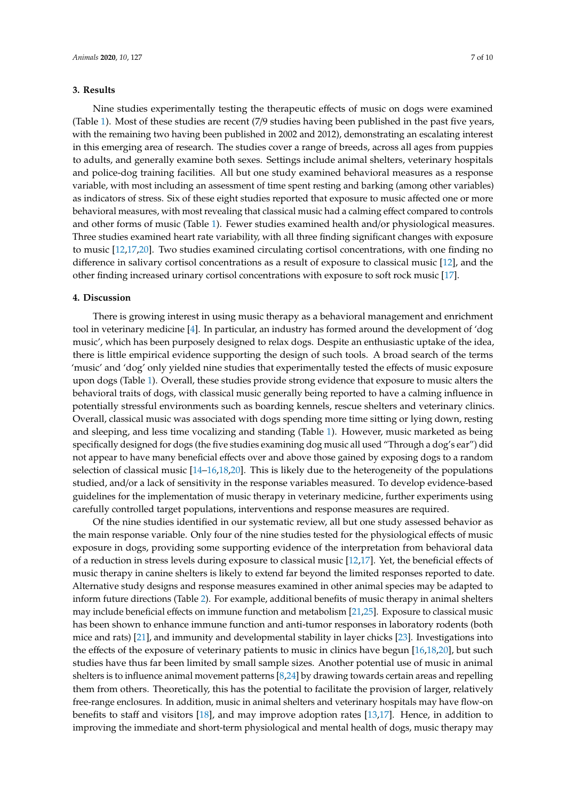### **3. Results**

Nine studies experimentally testing the therapeutic effects of music on dogs were examined (Table [1\)](#page-4-0). Most of these studies are recent (7/9 studies having been published in the past five years, with the remaining two having been published in 2002 and 2012), demonstrating an escalating interest in this emerging area of research. The studies cover a range of breeds, across all ages from puppies to adults, and generally examine both sexes. Settings include animal shelters, veterinary hospitals and police-dog training facilities. All but one study examined behavioral measures as a response variable, with most including an assessment of time spent resting and barking (among other variables) as indicators of stress. Six of these eight studies reported that exposure to music affected one or more behavioral measures, with most revealing that classical music had a calming effect compared to controls and other forms of music (Table [1\)](#page-4-0). Fewer studies examined health and/or physiological measures. Three studies examined heart rate variability, with all three finding significant changes with exposure to music [\[12](#page-8-10)[,17](#page-9-11)[,20\]](#page-9-12). Two studies examined circulating cortisol concentrations, with one finding no difference in salivary cortisol concentrations as a result of exposure to classical music [\[12\]](#page-8-10), and the other finding increased urinary cortisol concentrations with exposure to soft rock music [\[17\]](#page-9-11).

#### **4. Discussion**

There is growing interest in using music therapy as a behavioral management and enrichment tool in veterinary medicine [\[4\]](#page-8-2). In particular, an industry has formed around the development of 'dog music', which has been purposely designed to relax dogs. Despite an enthusiastic uptake of the idea, there is little empirical evidence supporting the design of such tools. A broad search of the terms 'music' and 'dog' only yielded nine studies that experimentally tested the effects of music exposure upon dogs (Table [1\)](#page-4-0). Overall, these studies provide strong evidence that exposure to music alters the behavioral traits of dogs, with classical music generally being reported to have a calming influence in potentially stressful environments such as boarding kennels, rescue shelters and veterinary clinics. Overall, classical music was associated with dogs spending more time sitting or lying down, resting and sleeping, and less time vocalizing and standing (Table [1\)](#page-4-0). However, music marketed as being specifically designed for dogs (the five studies examining dog music all used "Through a dog's ear") did not appear to have many beneficial effects over and above those gained by exposing dogs to a random selection of classical music [\[14–](#page-9-13)[16](#page-9-14)[,18](#page-9-15)[,20\]](#page-9-12). This is likely due to the heterogeneity of the populations studied, and/or a lack of sensitivity in the response variables measured. To develop evidence-based guidelines for the implementation of music therapy in veterinary medicine, further experiments using carefully controlled target populations, interventions and response measures are required.

Of the nine studies identified in our systematic review, all but one study assessed behavior as the main response variable. Only four of the nine studies tested for the physiological effects of music exposure in dogs, providing some supporting evidence of the interpretation from behavioral data of a reduction in stress levels during exposure to classical music [\[12](#page-8-10)[,17\]](#page-9-11). Yet, the beneficial effects of music therapy in canine shelters is likely to extend far beyond the limited responses reported to date. Alternative study designs and response measures examined in other animal species may be adapted to inform future directions (Table [2\)](#page-5-0). For example, additional benefits of music therapy in animal shelters may include beneficial effects on immune function and metabolism [\[21,](#page-9-16)[25\]](#page-9-17). Exposure to classical music has been shown to enhance immune function and anti-tumor responses in laboratory rodents (both mice and rats) [\[21\]](#page-9-16), and immunity and developmental stability in layer chicks [\[23\]](#page-9-18). Investigations into the effects of the exposure of veterinary patients to music in clinics have begun [\[16,](#page-9-14)[18,](#page-9-15)[20\]](#page-9-12), but such studies have thus far been limited by small sample sizes. Another potential use of music in animal shelters is to influence animal movement patterns [\[8](#page-8-6)[,24\]](#page-9-19) by drawing towards certain areas and repelling them from others. Theoretically, this has the potential to facilitate the provision of larger, relatively free-range enclosures. In addition, music in animal shelters and veterinary hospitals may have flow-on benefits to staff and visitors [\[18\]](#page-9-15), and may improve adoption rates [\[13](#page-8-15)[,17\]](#page-9-11). Hence, in addition to improving the immediate and short-term physiological and mental health of dogs, music therapy may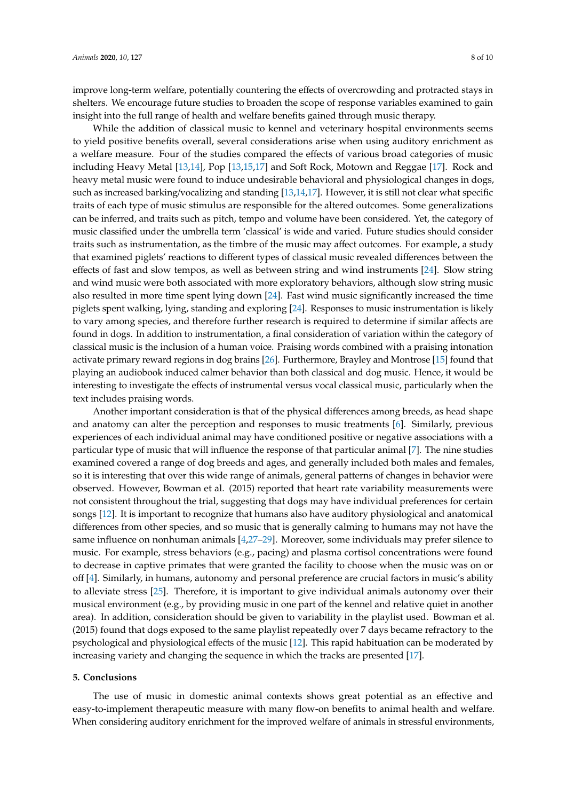improve long-term welfare, potentially countering the effects of overcrowding and protracted stays in shelters. We encourage future studies to broaden the scope of response variables examined to gain insight into the full range of health and welfare benefits gained through music therapy.

While the addition of classical music to kennel and veterinary hospital environments seems to yield positive benefits overall, several considerations arise when using auditory enrichment as a welfare measure. Four of the studies compared the effects of various broad categories of music including Heavy Metal [\[13](#page-8-15)[,14\]](#page-9-13), Pop [\[13,](#page-8-15)[15,](#page-9-20)[17\]](#page-9-11) and Soft Rock, Motown and Reggae [\[17\]](#page-9-11). Rock and heavy metal music were found to induce undesirable behavioral and physiological changes in dogs, such as increased barking/vocalizing and standing [\[13](#page-8-15)[,14,](#page-9-13)[17\]](#page-9-11). However, it is still not clear what specific traits of each type of music stimulus are responsible for the altered outcomes. Some generalizations can be inferred, and traits such as pitch, tempo and volume have been considered. Yet, the category of music classified under the umbrella term 'classical' is wide and varied. Future studies should consider traits such as instrumentation, as the timbre of the music may affect outcomes. For example, a study that examined piglets' reactions to different types of classical music revealed differences between the effects of fast and slow tempos, as well as between string and wind instruments [\[24\]](#page-9-19). Slow string and wind music were both associated with more exploratory behaviors, although slow string music also resulted in more time spent lying down [\[24\]](#page-9-19). Fast wind music significantly increased the time piglets spent walking, lying, standing and exploring [\[24\]](#page-9-19). Responses to music instrumentation is likely to vary among species, and therefore further research is required to determine if similar affects are found in dogs. In addition to instrumentation, a final consideration of variation within the category of classical music is the inclusion of a human voice. Praising words combined with a praising intonation activate primary reward regions in dog brains [\[26\]](#page-9-21). Furthermore, Brayley and Montrose [\[15\]](#page-9-20) found that playing an audiobook induced calmer behavior than both classical and dog music. Hence, it would be interesting to investigate the effects of instrumental versus vocal classical music, particularly when the text includes praising words.

Another important consideration is that of the physical differences among breeds, as head shape and anatomy can alter the perception and responses to music treatments [\[6\]](#page-8-4). Similarly, previous experiences of each individual animal may have conditioned positive or negative associations with a particular type of music that will influence the response of that particular animal [\[7\]](#page-8-5). The nine studies examined covered a range of dog breeds and ages, and generally included both males and females, so it is interesting that over this wide range of animals, general patterns of changes in behavior were observed. However, Bowman et al. (2015) reported that heart rate variability measurements were not consistent throughout the trial, suggesting that dogs may have individual preferences for certain songs [\[12\]](#page-8-10). It is important to recognize that humans also have auditory physiological and anatomical differences from other species, and so music that is generally calming to humans may not have the same influence on nonhuman animals [\[4,](#page-8-2)[27](#page-9-22)[–29\]](#page-9-23). Moreover, some individuals may prefer silence to music. For example, stress behaviors (e.g., pacing) and plasma cortisol concentrations were found to decrease in captive primates that were granted the facility to choose when the music was on or off [\[4\]](#page-8-2). Similarly, in humans, autonomy and personal preference are crucial factors in music's ability to alleviate stress [\[25\]](#page-9-17). Therefore, it is important to give individual animals autonomy over their musical environment (e.g., by providing music in one part of the kennel and relative quiet in another area). In addition, consideration should be given to variability in the playlist used. Bowman et al. (2015) found that dogs exposed to the same playlist repeatedly over 7 days became refractory to the psychological and physiological effects of the music [\[12\]](#page-8-10). This rapid habituation can be moderated by increasing variety and changing the sequence in which the tracks are presented [\[17\]](#page-9-11).

#### **5. Conclusions**

The use of music in domestic animal contexts shows great potential as an effective and easy-to-implement therapeutic measure with many flow-on benefits to animal health and welfare. When considering auditory enrichment for the improved welfare of animals in stressful environments,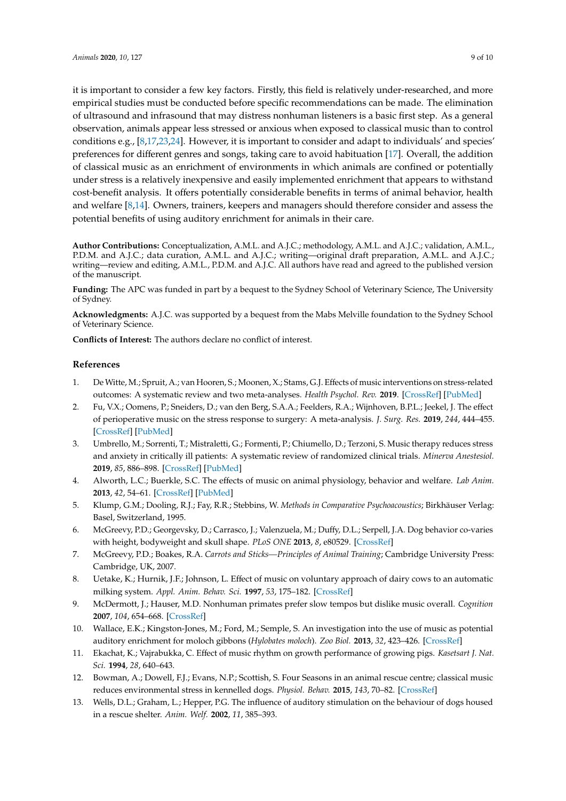it is important to consider a few key factors. Firstly, this field is relatively under-researched, and more empirical studies must be conducted before specific recommendations can be made. The elimination of ultrasound and infrasound that may distress nonhuman listeners is a basic first step. As a general observation, animals appear less stressed or anxious when exposed to classical music than to control conditions e.g., [\[8](#page-8-6)[,17,](#page-9-11)[23,](#page-9-18)[24\]](#page-9-19). However, it is important to consider and adapt to individuals' and species' preferences for different genres and songs, taking care to avoid habituation [\[17\]](#page-9-11). Overall, the addition of classical music as an enrichment of environments in which animals are confined or potentially under stress is a relatively inexpensive and easily implemented enrichment that appears to withstand cost-benefit analysis. It offers potentially considerable benefits in terms of animal behavior, health and welfare [\[8](#page-8-6)[,14\]](#page-9-13). Owners, trainers, keepers and managers should therefore consider and assess the potential benefits of using auditory enrichment for animals in their care.

**Author Contributions:** Conceptualization, A.M.L. and A.J.C.; methodology, A.M.L. and A.J.C.; validation, A.M.L., P.D.M. and A.J.C.; data curation, A.M.L. and A.J.C.; writing—original draft preparation, A.M.L. and A.J.C.; writing—review and editing, A.M.L., P.D.M. and A.J.C. All authors have read and agreed to the published version of the manuscript.

**Funding:** The APC was funded in part by a bequest to the Sydney School of Veterinary Science, The University of Sydney.

**Acknowledgments:** A.J.C. was supported by a bequest from the Mabs Melville foundation to the Sydney School of Veterinary Science.

<span id="page-8-13"></span>**Conflicts of Interest:** The authors declare no conflict of interest.

## **References**

- <span id="page-8-14"></span><span id="page-8-0"></span>1. De Witte, M.; Spruit, A.; van Hooren, S.; Moonen, X.; Stams, G.J. Effects of music interventions on stress-related outcomes: A systematic review and two meta-analyses. *Health Psychol. Rev.* **2019**. [\[CrossRef\]](http://dx.doi.org/10.1080/17437199.2019.1627897) [\[PubMed\]](http://www.ncbi.nlm.nih.gov/pubmed/31167611)
- 2. Fu, V.X.; Oomens, P.; Sneiders, D.; van den Berg, S.A.A.; Feelders, R.A.; Wijnhoven, B.P.L.; Jeekel, J. The effect of perioperative music on the stress response to surgery: A meta-analysis. *J. Surg. Res.* **2019**, *244*, 444–455. [\[CrossRef\]](http://dx.doi.org/10.1016/j.jss.2019.06.052) [\[PubMed\]](http://www.ncbi.nlm.nih.gov/pubmed/31326711)
- <span id="page-8-12"></span><span id="page-8-1"></span>3. Umbrello, M.; Sorrenti, T.; Mistraletti, G.; Formenti, P.; Chiumello, D.; Terzoni, S. Music therapy reduces stress and anxiety in critically ill patients: A systematic review of randomized clinical trials. *Minerva Anestesiol.* **2019**, *85*, 886–898. [\[CrossRef\]](http://dx.doi.org/10.23736/S0375-9393.19.13526-2) [\[PubMed\]](http://www.ncbi.nlm.nih.gov/pubmed/30947484)
- <span id="page-8-11"></span><span id="page-8-2"></span>4. Alworth, L.C.; Buerkle, S.C. The effects of music on animal physiology, behavior and welfare. *Lab Anim.* **2013**, *42*, 54–61. [\[CrossRef\]](http://dx.doi.org/10.1038/laban.162) [\[PubMed\]](http://www.ncbi.nlm.nih.gov/pubmed/23340788)
- <span id="page-8-3"></span>5. Klump, G.M.; Dooling, R.J.; Fay, R.R.; Stebbins, W. *Methods in Comparative Psychoacoustics*; Birkhäuser Verlag: Basel, Switzerland, 1995.
- <span id="page-8-4"></span>6. McGreevy, P.D.; Georgevsky, D.; Carrasco, J.; Valenzuela, M.; Duffy, D.L.; Serpell, J.A. Dog behavior co-varies with height, bodyweight and skull shape. *PLoS ONE* **2013**, *8*, e80529. [\[CrossRef\]](http://dx.doi.org/10.1371/journal.pone.0080529)
- <span id="page-8-5"></span>7. McGreevy, P.D.; Boakes, R.A. *Carrots and Sticks—Principles of Animal Training*; Cambridge University Press: Cambridge, UK, 2007.
- <span id="page-8-6"></span>8. Uetake, K.; Hurnik, J.F.; Johnson, L. Effect of music on voluntary approach of dairy cows to an automatic milking system. *Appl. Anim. Behav. Sci.* **1997**, *53*, 175–182. [\[CrossRef\]](http://dx.doi.org/10.1016/S0168-1591(96)01159-8)
- <span id="page-8-7"></span>9. McDermott, J.; Hauser, M.D. Nonhuman primates prefer slow tempos but dislike music overall. *Cognition* **2007**, *104*, 654–668. [\[CrossRef\]](http://dx.doi.org/10.1016/j.cognition.2006.07.011)
- <span id="page-8-8"></span>10. Wallace, E.K.; Kingston-Jones, M.; Ford, M.; Semple, S. An investigation into the use of music as potential auditory enrichment for moloch gibbons (*Hylobates moloch*). *Zoo Biol.* **2013**, *32*, 423–426. [\[CrossRef\]](http://dx.doi.org/10.1002/zoo.21074)
- <span id="page-8-9"></span>11. Ekachat, K.; Vajrabukka, C. Effect of music rhythm on growth performance of growing pigs. *Kasetsart J. Nat. Sci.* **1994**, *28*, 640–643.
- <span id="page-8-10"></span>12. Bowman, A.; Dowell, F.J.; Evans, N.P.; Scottish, S. Four Seasons in an animal rescue centre; classical music reduces environmental stress in kennelled dogs. *Physiol. Behav.* **2015**, *143*, 70–82. [\[CrossRef\]](http://dx.doi.org/10.1016/j.physbeh.2015.02.035)
- <span id="page-8-15"></span>13. Wells, D.L.; Graham, L.; Hepper, P.G. The influence of auditory stimulation on the behaviour of dogs housed in a rescue shelter. *Anim. Welf.* **2002**, *11*, 385–393.